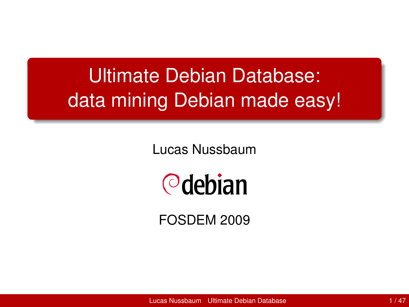# Ultimate Debian Database: data mining Debian made easy!

Lucas Nussbaum



<span id="page-0-0"></span>FOSDEM 2009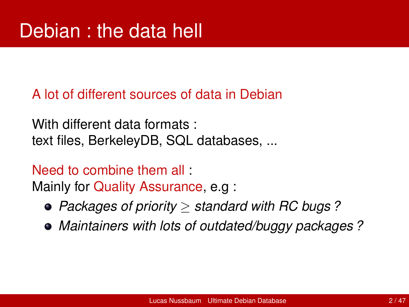A lot of different sources of data in Debian

With different data formats : text files, BerkeleyDB, SQL databases, ...

Need to combine them all : Mainly for Quality Assurance, e.g :

- *Packages of priority* ≥ *standard with RC bugs ?*
- *Maintainers with lots of outdated/buggy packages ?*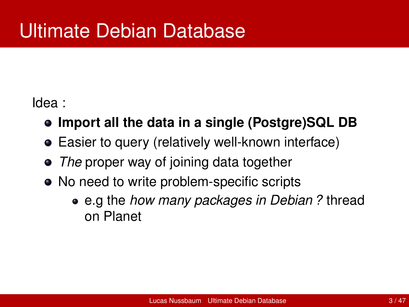Idea :

- **Import all the data in a single (Postgre)SQL DB**
- Easier to query (relatively well-known interface)
- *The* proper way of joining data together
- No need to write problem-specific scripts
	- e.g the *how many packages in Debian ?* thread on Planet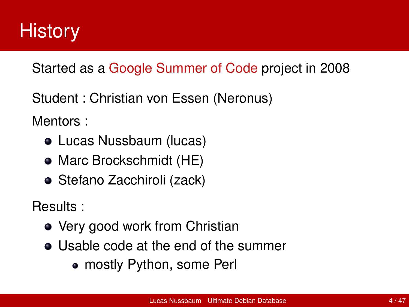

Started as a Google Summer of Code project in 2008

Student : Christian von Essen (Neronus)

Mentors :

- Lucas Nussbaum (lucas)
- Marc Brockschmidt (HE)
- Stefano Zacchiroli (zack)

Results :

- Very good work from Christian
- Usable code at the end of the summer
	- mostly Python, some Perl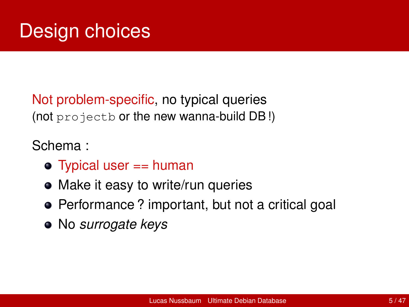Not problem-specific, no typical queries (not projectb or the new wanna-build DB !)

Schema :

- $\bullet$  Typical user  $==$  human
- Make it easy to write/run queries
- Performance ? important, but not a critical goal
- No *surrogate keys*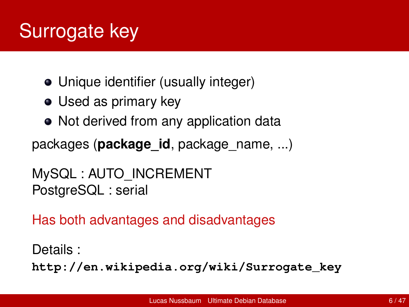# Surrogate key

- Unique identifier (usually integer)
- Used as primary key
- Not derived from any application data

packages (**package\_id**, package\_name, ...)

```
MySQL : AUTO_INCREMENT
PostgreSQL : serial
```
Has both advantages and disadvantages

```
Details :
http://en.wikipedia.org/wiki/Surrogate_key
```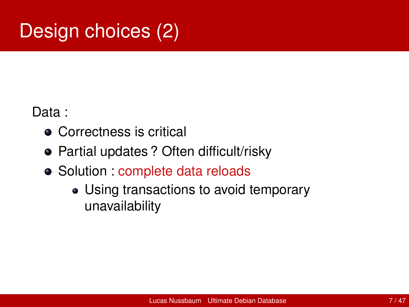# Design choices (2)

Data :

- **Correctness is critical**
- Partial updates ? Often difficult/risky
- Solution : complete data reloads
	- Using transactions to avoid temporary unavailability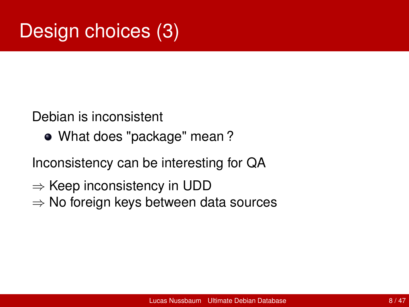# Design choices (3)

Debian is inconsistent

What does "package" mean ?

Inconsistency can be interesting for QA

- $\Rightarrow$  Keep inconsistency in UDD
- $\Rightarrow$  No foreign keys between data sources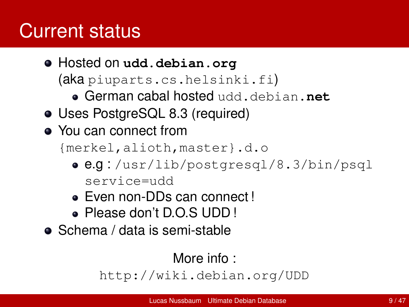### Current status

- Hosted on **udd.debian.org** (aka piuparts.cs.helsinki.fi)
	- German cabal hosted udd.debian.**net**
- Uses PostgreSQL 8.3 (required)
- You can connect from

{merkel,alioth,master}.d.o

- e.g : /usr/lib/postgresql/8.3/bin/psql service=udd
- Even non-DDs can connect !
- Please don't D.O.S UDD !
- Schema / data is semi-stable

#### More info :

<http://wiki.debian.org/UDD>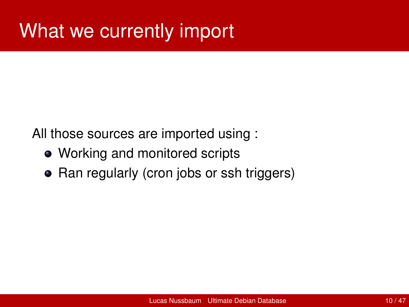All those sources are imported using :

- Working and monitored scripts
- Ran regularly (cron jobs or ssh triggers)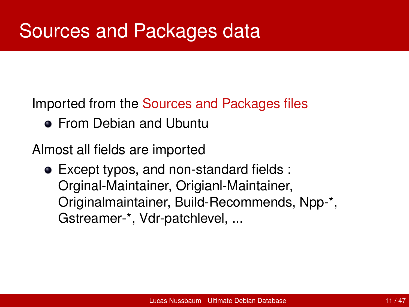Imported from the Sources and Packages files

**• From Debian and Ubuntu** 

Almost all fields are imported

Except typos, and non-standard fields : Orginal-Maintainer, Origianl-Maintainer, Originalmaintainer, Build-Recommends, Npp-\*, Gstreamer-\*, Vdr-patchlevel, ...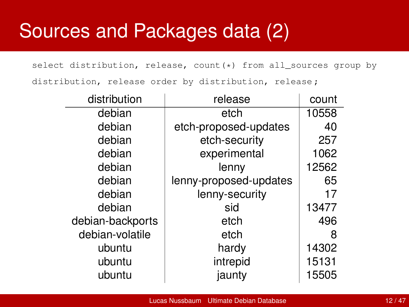### Sources and Packages data (2)

select distribution, release, count (\*) from all sources group by distribution, release order by distribution, release ;

| distribution     | release                | count |
|------------------|------------------------|-------|
| debian           | etch                   | 10558 |
| debian           | etch-proposed-updates  | 40    |
| debian           | etch-security          | 257   |
| debian           | experimental           | 1062  |
| debian           | lenny                  | 12562 |
| debian           | lenny-proposed-updates | 65    |
| debian           | lenny-security         | 17    |
| debian           | sid                    | 13477 |
| debian-backports | etch                   | 496   |
| debian-volatile  | etch                   | 8     |
| ubuntu           | hardy                  | 14302 |
| ubuntu           | intrepid               | 15131 |
| ubuntu           | jaunty                 | 15505 |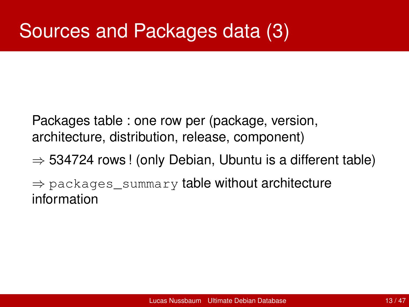### Sources and Packages data (3)

Packages table : one row per (package, version, architecture, distribution, release, component)

 $\Rightarrow$  534724 rows ! (only Debian, Ubuntu is a different table)

 $\Rightarrow$  packages\_summary table without architecture information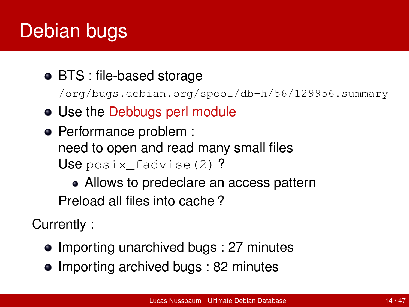# Debian bugs

#### BTS : file-based storage

/org/bugs.debian.org/spool/db-h/56/129956.summary

- Use the Debbugs perl module
- Performance problem : need to open and read many small files Use posix fadvise(2)?

• Allows to predeclare an access pattern Preload all files into cache ?

Currently :

- Importing unarchived bugs : 27 minutes
- Importing archived bugs : 82 minutes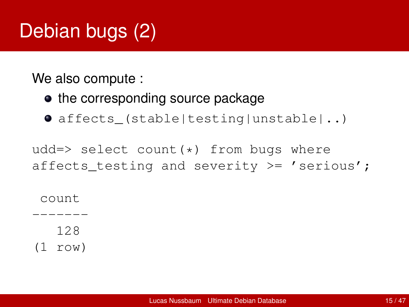# Debian bugs (2)

We also compute :

- the corresponding source package
- affects\_(stable|testing|unstable|..)

udd=> select count $(*)$  from bugs where affects testing and severity  $>= '$  serious';

count

-------

128

(1 row)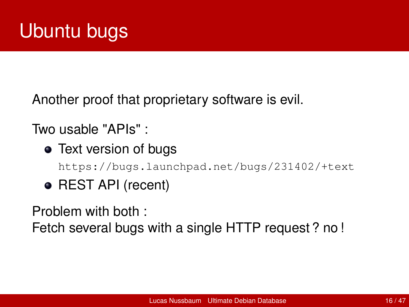Another proof that proprietary software is evil.

Two usable "APIs" :

- Text version of bugs <https://bugs.launchpad.net/bugs/231402/+text>
- REST API (recent)

Problem with both :

Fetch several bugs with a single HTTP request ? no !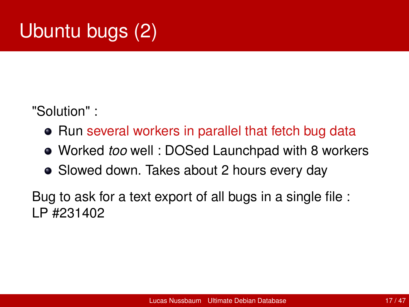# Ubuntu bugs (2)

"Solution" :

- Run several workers in parallel that fetch bug data
- Worked *too* well : DOSed Launchpad with 8 workers
- Slowed down. Takes about 2 hours every day

Bug to ask for a text export of all bugs in a single file : LP #231402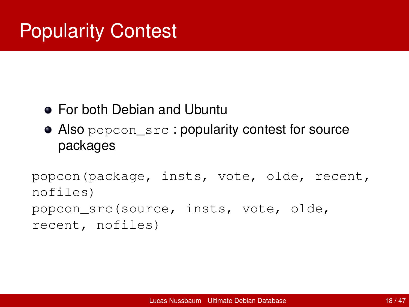### Popularity Contest

#### For both Debian and Ubuntu

Also popcon\_src : popularity contest for source packages

popcon(package, insts, vote, olde, recent, nofiles) popcon\_src(source, insts, vote, olde, recent, nofiles)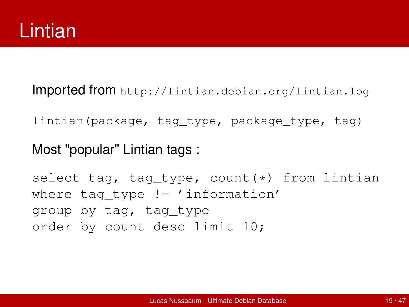Imported from <http://lintian.debian.org/lintian.log>

lintian(package, tag\_type, package\_type, tag)

#### Most "popular" Lintian tags :

select tag, tag\_type, count(\*) from lintian where tag type  $!=$  'information' group by tag, tag\_type order by count desc limit 10;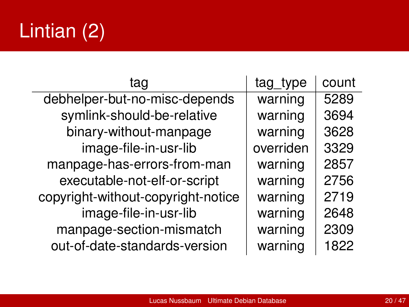# Lintian (2)

| tag                                | tag_type  | count |
|------------------------------------|-----------|-------|
| debhelper-but-no-misc-depends      | warning   | 5289  |
| symlink-should-be-relative         | warning   | 3694  |
| binary-without-manpage             | warning   | 3628  |
| image-file-in-usr-lib              | overriden | 3329  |
| manpage-has-errors-from-man        | warning   | 2857  |
| executable-not-elf-or-script       | warning   | 2756  |
| copyright-without-copyright-notice | warning   | 2719  |
| image-file-in-usr-lib              | warning   | 2648  |
| manpage-section-mismatch           | warning   | 2309  |
| out-of-date-standards-version      | warning   | 1822  |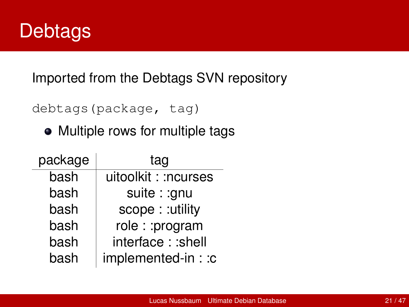

Imported from the Debtags SVN repository

debtags(package, tag)

• Multiple rows for multiple tags

| package | tag                  |
|---------|----------------------|
| bash    | uitoolkit: : ncurses |
| bash    | suite: : gnu         |
| bash    | scope: : utility     |
| bash    | role: : program      |
| bash    | interface: : shell   |
| bash    | implemented-in: : c  |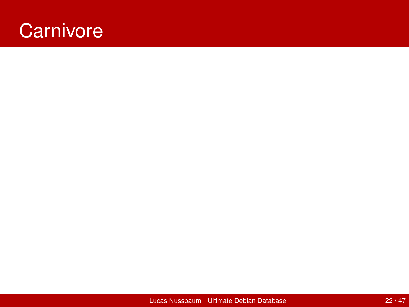#### **Carnivore**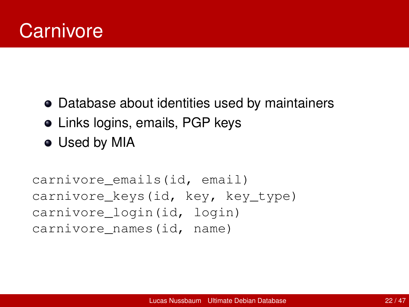#### **Carnivore**

- Database about identities used by maintainers
- Links logins, emails, PGP keys
- Used by MIA

```
carnivore_emails(id, email)
carnivore keys(id, key, key type)
carnivore_login(id, login)
carnivore_names(id, name)
```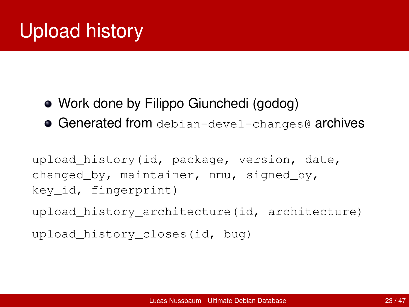# Upload history

- Work done by Filippo Giunchedi (godog)
- **Generated from** debian-devel-changes@ archives

upload history(id, package, version, date, changed\_by, maintainer, nmu, signed\_by, key\_id, fingerprint)

upload\_history\_architecture(id, architecture)

upload\_history\_closes(id, bug)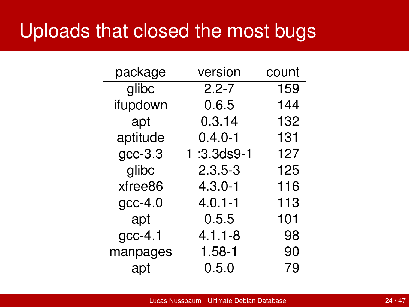#### Uploads that closed the most bugs

| package   | version          | count |
|-----------|------------------|-------|
| glibc     | $2.2 - 7$        | 159   |
| ifupdown  | 0.6.5            | 144   |
| apt       | 0.3.14           | 132   |
| aptitude  | $0.4.0 - 1$      | 131   |
| $gcc-3.3$ | $1:3.3$ ds $9-1$ | 127   |
| glibc     | $2.3.5 - 3$      | 125   |
| xfree86   | $4.3.0 - 1$      | 116   |
| $qcc-4.0$ | $4.0.1 - 1$      | 113   |
| apt       | 0.5.5            | 101   |
| $qcc-4.1$ | $4.1.1 - 8$      | 98    |
| manpages  | $1.58 - 1$       | 90    |
| apt       | 0.5.0            | 79    |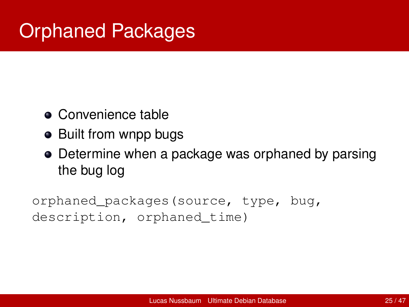# Orphaned Packages

- Convenience table
- Built from wnpp bugs
- Determine when a package was orphaned by parsing the bug log

orphaned\_packages(source, type, bug, description, orphaned time)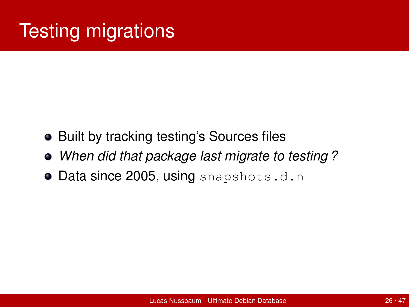# **Testing migrations**

- Built by tracking testing's Sources files
- *When did that package last migrate to testing ?*
- Data since 2005, using snapshots.d.n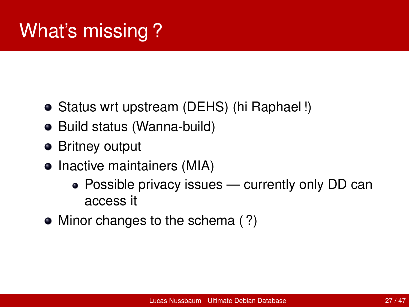# What's missing ?

- Status wrt upstream (DEHS) (hi Raphael!)
- Build status (Wanna-build)
- **•** Britney output
- Inactive maintainers (MIA)
	- Possible privacy issues currently only DD can access it
- Minor changes to the schema (?)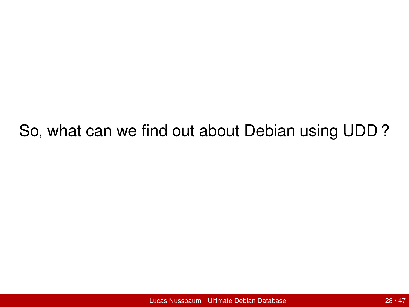#### So, what can we find out about Debian using UDD ?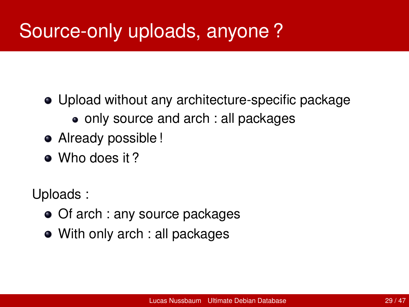### Source-only uploads, anyone ?

- Upload without any architecture-specific package • only source and arch : all packages
- Already possible !
- Who does it?

Uploads :

- Of arch : any source packages
- With only arch : all packages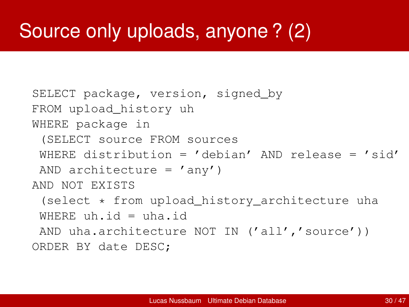### Source only uploads, anyone ? (2)

```
SELECT package, version, signed by
FROM upload_history uh
WHERE package in
 (SELECT source FROM sources
 WHERE distribution = 'debian' AND release = 'sid'
AND architecture = 'any')
AND NOT EXISTS
 (select * from upload history architecture uha
 WHERE uh.id = uha.id
AND uha.architecture NOT IN ('all','source'))
ORDER BY date DESC;
```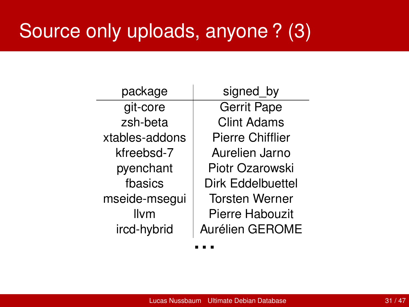# Source only uploads, anyone ? (3)

| package        | signed by               |  |
|----------------|-------------------------|--|
| git-core       | <b>Gerrit Pape</b>      |  |
| zsh-beta       | <b>Clint Adams</b>      |  |
| xtables-addons | <b>Pierre Chifflier</b> |  |
| kfreebsd-7     | Aurelien Jarno          |  |
| pyenchant      | Piotr Ozarowski         |  |
| fbasics        | Dirk Eddelbuettel       |  |
| mseide-msegui  | <b>Torsten Werner</b>   |  |
| llvm           | Pierre Habouzit         |  |
| ircd-hybrid    | Aurélien GEROME         |  |
|                |                         |  |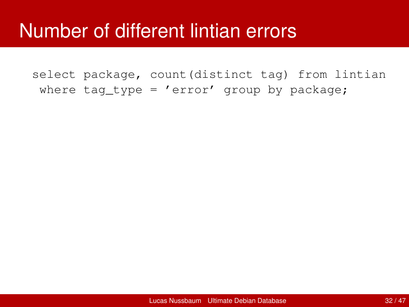#### Number of different lintian errors

select package, count(distinct tag) from lintian where tag type =  $'$ error' group by package;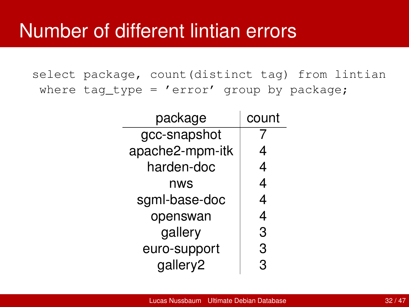select package, count(distinct tag) from lintian where tag type =  $'$ error' group by package;

| package         | count |
|-----------------|-------|
| gcc-snapshot    |       |
| apache2-mpm-itk | 4     |
| harden-doc      | 4     |
| nws             | 4     |
| sgml-base-doc   | 4     |
| openswan        | 4     |
| gallery         | 3     |
| euro-support    | 3     |
| gallery2        | 3     |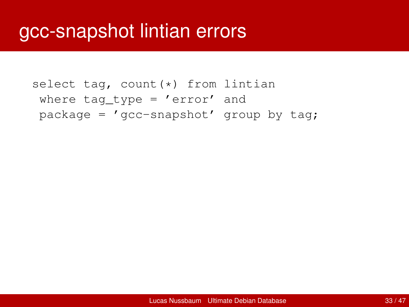```
select tag, count (*) from lintian
where tag type = 'error' and
package = 'gcc-snapshot' group by tag;
```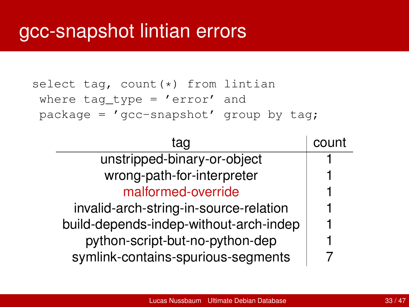```
select tag, count (*) from lintian
where tag type = 'error' and
package = 'gcc-snapshot' group by tag;
```

| tag                                    | count |
|----------------------------------------|-------|
| unstripped-binary-or-object            |       |
| wrong-path-for-interpreter             |       |
| malformed-override                     |       |
| invalid-arch-string-in-source-relation |       |
| build-depends-indep-without-arch-indep |       |
| python-script-but-no-python-dep        |       |
| symlink-contains-spurious-segments     |       |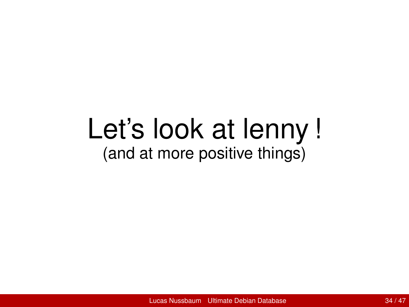# Let's look at lenny ! (and at more positive things)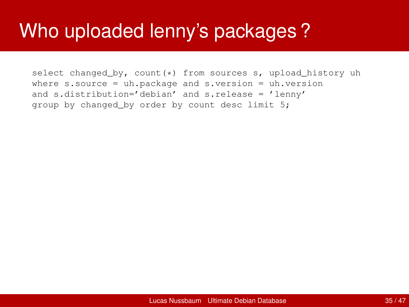select changed\_by, count(\*) from sources s, upload\_history uh where  $s.source = uh.package and s.version = uh.version$ and s.distribution='debian' and s.release = 'lenny' group by changed by order by count desc limit 5: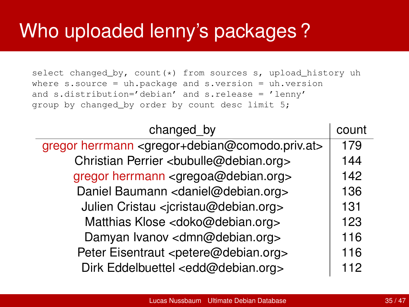select changed\_by, count(\*) from sources s, upload\_history uh where  $s.source = uh.package and s.version = uh.version$ and s.distribution='debian' and s.release = 'lenny' group by changed by order by count desc limit 5:

| changed by                                                                    | count |
|-------------------------------------------------------------------------------|-------|
| gregor herrmann <gregor+debian@comodo.priv.at></gregor+debian@comodo.priv.at> | 179   |
| Christian Perrier <bubulle@debian.org></bubulle@debian.org>                   | 144   |
| gregor herrmann <gregoa@debian.org></gregoa@debian.org>                       | 142   |
| Daniel Baumann <daniel@debian.org></daniel@debian.org>                        | 136   |
| Julien Cristau <jcristau@debian.org></jcristau@debian.org>                    | 131   |
| Matthias Klose <doko@debian.org></doko@debian.org>                            | 123   |
| Damyan Ivanov <dmn@debian.org></dmn@debian.org>                               | 116   |
| Peter Eisentraut <petere@debian.org></petere@debian.org>                      | 116   |
| Dirk Eddelbuettel <edd@debian.org></edd@debian.org>                           | 112   |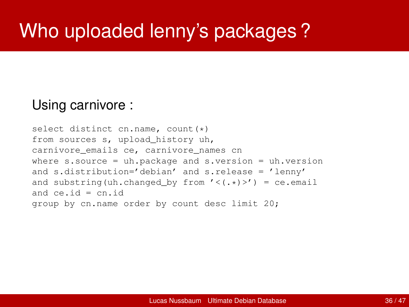#### Using carnivore :

```
select distinct cn.name, count(*)
from sources s, upload_history uh,
carnivore_emails ce, carnivore_names cn
where s.source = uh.package and s.version = uh.version
and s.distribution='debian' and s.release = 'lenny'
and substring (uh.changed by from \prime < (.*) >') = ce.email
and ce, id = cn, idgroup by cn.name order by count desc limit 20;
```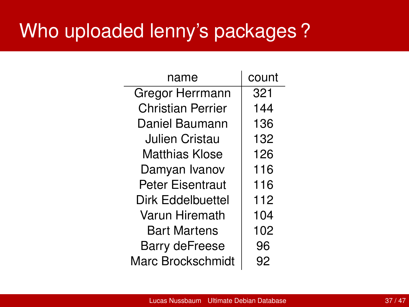| name                     | count |
|--------------------------|-------|
| Gregor Herrmann          | 321   |
| Christian Perrier        | 144   |
| Daniel Baumann           | 136   |
| Julien Cristau           | 132   |
| Matthias Klose           | 126   |
| Damyan Ivanov            | 116   |
| Peter Eisentraut         | 116   |
| Dirk Eddelbuettel        | 112   |
| Varun Hiremath           | 104   |
| <b>Bart Martens</b>      | 102   |
| Barry deFreese           | 96    |
| <b>Marc Brockschmidt</b> | 92    |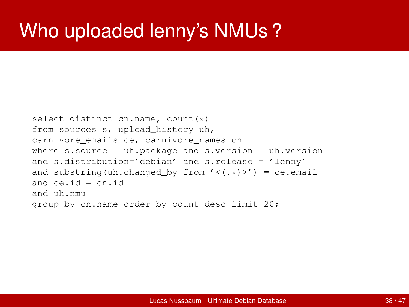#### Who uploaded lenny's NMUs ?

```
select distinct cn.name, count(*)
from sources s, upload_history uh,
carnivore_emails ce, carnivore_names cn
where s.source = uh.package and s.version = uh.versionand s.distribution='debian' and s.release = 'lenny'
and substring (uh.changed by from \prime < (.*) >') = ce.email
and ce, id = cn, idand uh.nmu
group by cn.name order by count desc limit 20;
```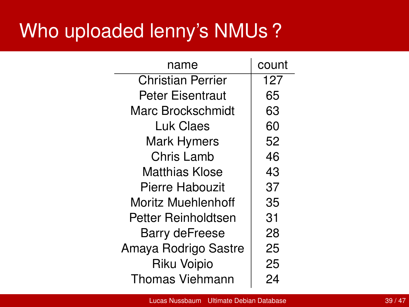### Who uploaded lenny's NMUs ?

| name                     | count |
|--------------------------|-------|
| <b>Christian Perrier</b> | 127   |
| <b>Peter Eisentraut</b>  | 65    |
| Marc Brockschmidt        | 63    |
| Luk Claes                | 60    |
| <b>Mark Hymers</b>       | 52    |
| Chris Lamb               | 46    |
| Matthias Klose           | 43    |
| <b>Pierre Habouzit</b>   | 37    |
| Moritz Muehlenhoff       | 35    |
| Petter Reinholdtsen      | 31    |
| <b>Barry deFreese</b>    | 28    |
| Amaya Rodrigo Sastre     | 25    |
| Riku Voipio              | 25    |
| <b>Thomas Viehmann</b>   | 24    |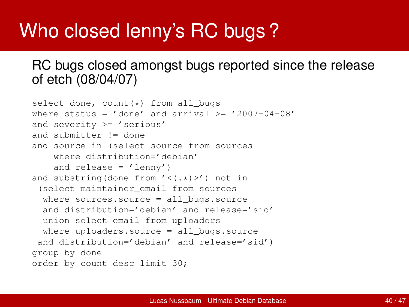### Who closed lenny's RC bugs ?

#### RC bugs closed amongst bugs reported since the release of etch (08/04/07)

```
select done, count (*) from all_bugs
where status = ' done' and arrival >= '2007-04-08'
and severity >= 'serious'
and submitter != done
and source in (select source from sources
    where distribution='debian'
    and release = ' lennv')and substring(done from '<(.*)>') not in
 (select maintainer_email from sources
  where sources.source = all bugs.source
  and distribution='debian' and release='sid'
  union select email from uploaders
  where uploaders.source = all bugs.source
 and distribution='debian' and release='sid')
group by done
order by count desc limit 30;
```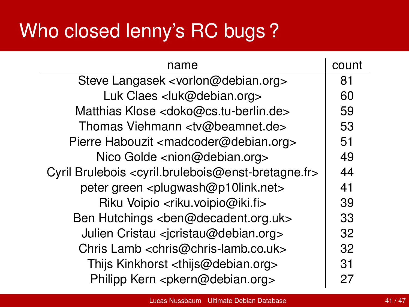# Who closed lenny's RC bugs ?

| name                                                                                  | count |
|---------------------------------------------------------------------------------------|-------|
| Steve Langasek <vorlon@debian.org></vorlon@debian.org>                                | 81    |
| Luk Claes <luk@debian.org></luk@debian.org>                                           | 60    |
| Matthias Klose <doko@cs.tu-berlin.de></doko@cs.tu-berlin.de>                          | 59    |
| Thomas Viehmann <tv@beamnet.de></tv@beamnet.de>                                       | 53    |
| Pierre Habouzit <madcoder@debian.org></madcoder@debian.org>                           | 51    |
| Nico Golde <nion@debian.org></nion@debian.org>                                        | 49    |
| Cyril Brulebois <cyril.brulebois@enst-bretagne.fr></cyril.brulebois@enst-bretagne.fr> | 44    |
| peter green <plugwash@p10link.net></plugwash@p10link.net>                             | 41    |
| Riku Voipio <riku.voipio@iki.fi></riku.voipio@iki.fi>                                 | 39    |
| Ben Hutchings <ben@decadent.org.uk></ben@decadent.org.uk>                             | 33    |
| Julien Cristau <jcristau@debian.org></jcristau@debian.org>                            | 32    |
| Chris Lamb <chris@chris-lamb.co.uk></chris@chris-lamb.co.uk>                          | 32    |
| Thijs Kinkhorst <thijs@debian.org></thijs@debian.org>                                 | 31    |
| Philipp Kern <pkern@debian.org></pkern@debian.org>                                    | 27    |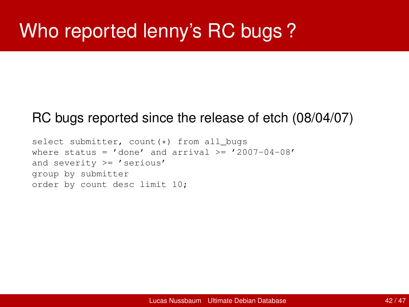## Who reported lenny's RC bugs ?

#### RC bugs reported since the release of etch (08/04/07)

```
select submitter, count (*) from all_bugs
where status = ' done' and arrival >= '2007-04-08'
and severity >= 'serious'
group by submitter
order by count desc limit 10;
```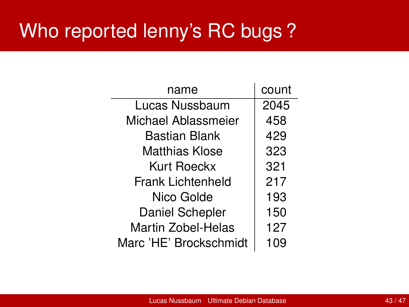### Who reported lenny's RC bugs ?

| name                      | count |
|---------------------------|-------|
| Lucas Nussbaum            | 2045  |
| Michael Ablassmeier       | 458   |
| Bastian Blank             | 429   |
| Matthias Klose            | 323   |
| Kurt Roeckx               | 321   |
| <b>Frank Lichtenheld</b>  | 217   |
| Nico Golde                | 193   |
| Daniel Schepler           | 150   |
| <b>Martin Zobel-Helas</b> | 127   |
| Marc 'HE' Brockschmidt    | 109   |

 $\ddot{\phantom{a}}$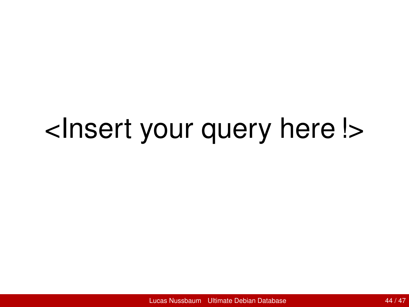# <Insert your query here !>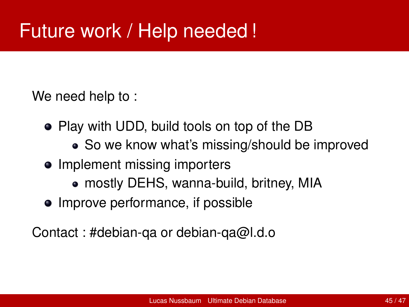We need help to :

- Play with UDD, build tools on top of the DB
	- So we know what's missing/should be improved
- Implement missing importers
	- mostly DEHS, wanna-build, britney, MIA
- Improve performance, if possible

Contact : #debian-qa or debian-qa@l.d.o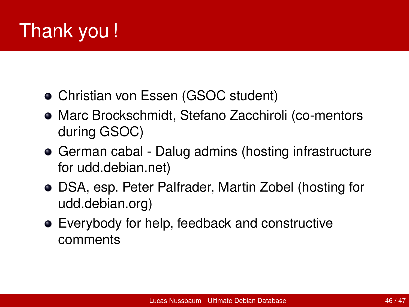# Thank you !

- Christian von Essen (GSOC student)
- Marc Brockschmidt, Stefano Zacchiroli (co-mentors during GSOC)
- German cabal Dalug admins (hosting infrastructure for udd.debian.net)
- DSA, esp. Peter Palfrader, Martin Zobel (hosting for udd.debian.org)
- Everybody for help, feedback and constructive comments